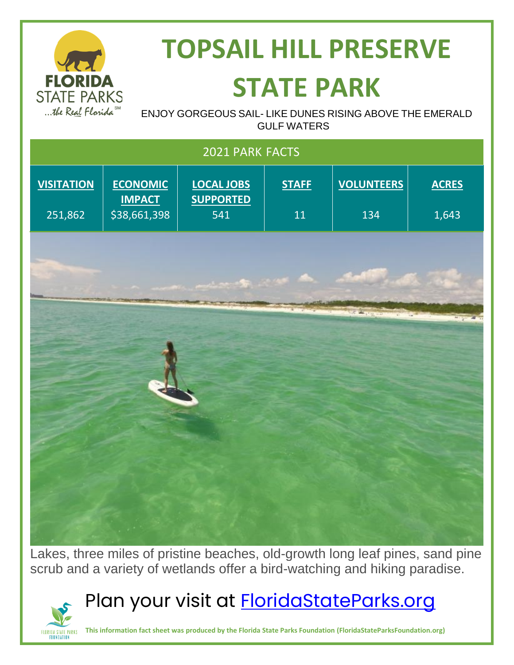

# **TOPSAIL HILL PRESERVE STATE PARK**

ENJOY GORGEOUS SAIL- LIKE DUNES RISING ABOVE THE EMERALD GULF WATERS

| 2021 PARK FACTS              |                                                  |                                              |                    |                          |                       |
|------------------------------|--------------------------------------------------|----------------------------------------------|--------------------|--------------------------|-----------------------|
| <b>VISITATION</b><br>251,862 | <b>ECONOMIC</b><br><b>IMPACT</b><br>\$38,661,398 | <b>LOCAL JOBS</b><br><b>SUPPORTED</b><br>541 | <b>STAFF</b><br>11 | <b>VOLUNTEERS</b><br>134 | <b>ACRES</b><br>1,643 |
|                              |                                                  |                                              | <b>COMPANY</b>     |                          |                       |
|                              |                                                  |                                              |                    | <b>SACRETARY</b>         | <b>HAYER AN</b>       |

Lakes, three miles of pristine beaches, old-growth long leaf pines, sand pine scrub and a variety of wetlands offer a bird-watching and hiking paradise.

## Plan your visit at **FloridaStateParks.org**



**This information fact sheet was produced by the Florida State Parks Foundation (FloridaStateParksFoundation.org)**